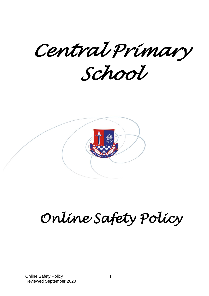*Central Primary* 

*School* 



# *Online Safety Policy*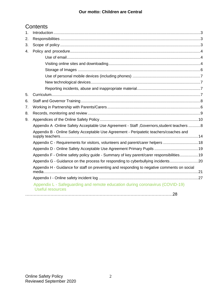# **Our motto: Children are Central**

# **Contents**

| 1. |                                                                                                         |  |
|----|---------------------------------------------------------------------------------------------------------|--|
| 2. |                                                                                                         |  |
| 3. |                                                                                                         |  |
| 4. |                                                                                                         |  |
|    |                                                                                                         |  |
|    |                                                                                                         |  |
|    |                                                                                                         |  |
|    |                                                                                                         |  |
|    |                                                                                                         |  |
|    |                                                                                                         |  |
| 5. |                                                                                                         |  |
| 6. |                                                                                                         |  |
| 7. |                                                                                                         |  |
| 8. |                                                                                                         |  |
| 9. |                                                                                                         |  |
|    | Appendix A -Online Safety Acceptable Use Agreement - Staff , Governors, student teachers  8             |  |
|    | Appendix B - Online Safety Acceptable Use Agreement - Peripatetic teachers/coaches and                  |  |
|    | Appendix C - Requirements for visitors, volunteers and parent/carer helpers 18                          |  |
|    |                                                                                                         |  |
|    | Appendix F - Online safety policy guide - Summary of key parent/carer responsibilities19                |  |
|    | Appendix G - Guidance on the process for responding to cyberbullying incidents20                        |  |
|    | Appendix H - Guidance for staff on preventing and responding to negative comments on social             |  |
|    |                                                                                                         |  |
|    | Appendix L - Safeguarding and remote education during coronavirus (COVID-19)<br><b>Useful resources</b> |  |
|    |                                                                                                         |  |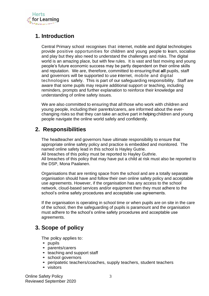

# <span id="page-2-0"></span>**1. Introduction**

Central Primary school recognises that internet, mobile and digital technologies provide positive opportunities for children and young people to learn, socialise and play but they also need to understand the challenges and risks. The digital world is an amazing place, but with few rules. It is vast and fast moving and young people's future economic success may be partly dependent on their online skills and reputation. We are, therefore, committed to ensuring that **all** pupils, staff and governors will be supported to use internet, mobile and digital technologies safely. This is part of our safeguarding responsibility. Staff are aware that some pupils may require additional support or teaching, including reminders, prompts and further explanation to reinforce their knowledge and understanding of online safety issues.

We are also committed to ensuring that all those who work with children and young people, including their parents/carers, are informed about the everchanging risks so that they can take an active part in helping children and young people navigate the online world safely and confidently.

# <span id="page-2-1"></span>**2. Responsibilities**

The headteacher and governors have ultimate responsibility to ensure that appropriate online safety policy and practice is embedded and monitored. The named online safety lead in this school is Hayley Gutrie. All breaches of this policy must be reported to Hayley Guthrie. All breaches of this policy that may have put a child at risk must also be reported to the DSP, Mona Paalanen.

Organisations that are renting space from the school and are a totally separate organisation should have and follow their own online safety policy and acceptable use agreements. However, if the organisation has any access to the school network, cloud-based services and/or equipment then they must adhere to the school's online safety procedures and acceptable use agreements.

If the organisation is operating in school time or when pupils are on site in the care of the school, then the safeguarding of pupils is paramount and the organisation must adhere to the school's online safety procedures and acceptable use agreements.

# <span id="page-2-2"></span>**3. Scope of policy**

The policy applies to:

- **•** pupils
- **•** parents/carers
- **•** teaching and support staff
- **•** school governors
- **•** peripatetic teachers/coaches, supply teachers, student teachers
- **•** visitors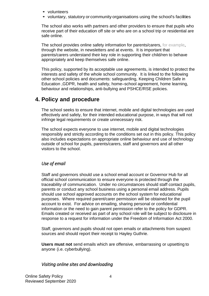- **•** volunteers
- **•** voluntary, statutory or community organisations using the school's facilities

The school also works with partners and other providers to ensure that pupils who receive part of their education off site or who are on a school trip or residential are safe online.

The school provides online safety information for parents/carers, for example, through the website, in newsletters and at events. It is important that parents/carers understand their key role in supporting their child/ren to behave appropriately and keep themselves safe online.

This policy, supported by its acceptable use agreements, is intended to protect the interests and safety of the whole school community. It is linked to the following other school policies and documents: safeguarding, Keeping Children Safe in Education ,GDPR, health and safety, home–school agreement, home learning, behaviour and relationships, anti-bullying and PSHCE/RSE policies.

# <span id="page-3-0"></span>**4. Policy and procedure**

The school seeks to ensure that internet, mobile and digital technologies are used effectively and safely, for their intended educational purpose, in ways that will not infringe legal requirements or create unnecessary risk.

The school expects everyone to use internet, mobile and digital technologies responsibly and strictly according to the conditions set out in this policy. This policy also includes expectations on appropriate online behaviour and use of technology outside of school for pupils, parents/carers, staff and governors and all other visitors to the school.

# <span id="page-3-1"></span>*Use of email*

Staff and governors should use a school email account or Governor Hub for all official school communication to ensure everyone is protected through the traceability of communication. Under no circumstances should staff contact pupils, parents or conduct any school business using a personal email address. Pupils should use school approved accounts on the school system for educational purposes. Where required parent/carer permission will be obtained for the pupil account to exist. For advice on emailing, sharing personal or confidential information or the need to gain parent permission refer to the policy for GDPR. Emails created or received as part of any school role will be subject to disclosure in response to a request for information under the Freedom of Information Act 2000.

Staff, governors and pupils should not open emails or attachments from suspect sources and should report their receipt to Hayley Guthrie.

**Users must not** send emails which are offensive, embarrassing or upsetting to anyone (i.e. cyberbullying).

# <span id="page-3-2"></span>*Visiting online sites and downloading*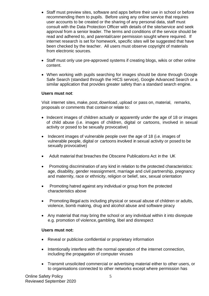- Staff must preview sites, software and apps before their use in school or before recommending them to pupils. Before using any online service that requires user accounts to be created or the sharing of any personal data, staff must consult with the Data Protection Officer with details of the site/service and seek approval from a senior leader. The terms and conditions of the service should be read and adhered to, and parental/carer permission sought where required. If internet research is set for homework, specific sites will be suggested that have been checked by the teacher. All users must observe copyright of materials from electronic sources.
- Staff must only use pre-approved systems if creating blogs, wikis or other online content.
- When working with pupils searching for images should be done through Google Safe Search (standard through the HICS service), Google Advanced Search or a similar application that provides greater safety than a standard search engine.

# **Users must not**:

Visit internet sites, make, post,download, upload or pass on, material, remarks, proposals or comments that contain or relate to:

- Indecent images of children actually or apparently under the age of 18 or images of child abuse (i.e. images of children, digital or cartoons, involved in sexual activity or posed to be sexually provocative)
- Indecent images of vulnerable people over the age of 18 (i.e. images of vulnerable people, digital or cartoons involved in sexual activity or posed to be sexually provocative)
- Adult material that breaches the Obscene Publications Act in the UK
- Promoting discrimination of any kind in relation to the protected characteristics: age, disability, gender reassignment, marriage and civil partnership, pregnancy and maternity, race or ethnicity, religion or belief, sex, sexual orientation
- Promoting hatred against any individual or group from the protected characteristics above
- Promoting illegal acts including physical or sexual abuse of children or adults, violence, bomb making, drug and alcohol abuse and software piracy
- Any material that may bring the school or any individual within it into disrepute e.g. promotion of violence,gambling, libel and disrespect

## **Users must not:**

- Reveal or publicise confidential or proprietary information
- Intentionally interfere with the normal operation of the internet connection, including the propagation of computer viruses
- Transmit unsolicited commercial or advertising material either to other users, or to organisations connected to other networks except where permission has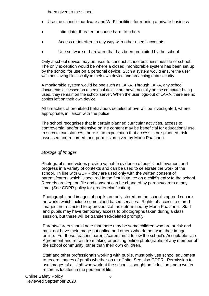been given to the school

- Use the school's hardware and Wi-Fi facilities for running a private business
- Intimidate, threaten or cause harm to others
- Access or interfere in any way with other users' accounts
- Use software or hardware that has been prohibited by the school

Only a school device may be used to conduct school business outside of school. The only exception would be where a closed, monitorable system has been set up by the school for use on a personal device. Such a system would ensure the user was not saving files locally to their own device and breaching data security.

A monitorable system would be one such as LARA. Through LARA, any school documents accessed on a personal device are never actually on the computer being used, they remain on the school server. When the user logs-out of LARA, there are no copies left on their own device

All breaches of prohibited behaviours detailed above will be investigated, where appropriate, in liaison with the police.

The school recognises that in certain planned curricular activities, access to controversial and/or offensive online content may be beneficial for educational use. In such circumstances, there is an expectation that access is pre-planned, risk assessed and recorded, and permission given by Mona Paalanen.

# <span id="page-5-0"></span>*Storage of Images*

Photographs and videos provide valuable evidence of pupils' achievement and progress in a variety of contexts and can be used to celebrate the work of the school. In line with GDPR they are used only with the written consent of parents/carers which is secured in the first instance on a child's entry to the school. Records are kept on file and consent can be changed by parents/carers at any time. (See GDPR policy for greater clarification).

Photographs and images of pupils are only stored on the school's agreed secure networks which include some cloud based services. Rights of access to stored images are restricted to approved staff as determined by Mona Paalanen. Staff and pupils may have temporary access to photographs taken during a class session, but these will be transferred/deleted promptly.

Parents/carers should note that there may be some children who are at risk and must not have their image put online and others who do not want their image online. For these reasons parents/carers must follow the school's Acceptable Use Agreement and refrain from taking or posting online photographs of any member of the school community, other than their own child/ren.

Staff and other professionals working with pupils, must only use school equipment to record images of pupils whether on or off site. See also GDPR. Permission to use images of all staff who work at the school is sought on induction and a written record is located in the personnel file.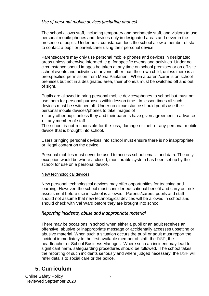# <span id="page-6-0"></span>*Use of personal mobile devices (including phones)*

The school allows staff, including temporary and peripatetic staff, and visitors to use personal mobile phones and devices only in designated areas and never in the presence of pupils. Under no circumstance does the school allow a member of staff to contact a pupil or parent/carer using their personal device.

Parents/carers may only use personal mobile phones and devices in designated areas unless otherwise informed, e.g. for specific events and activities. Under no circumstance should images be taken at any time on school premises or on off-site school events and activities of anyone other than their own child, unless there is a pre-specified permission from Mona Paalanen. When a parent/carer is on school premises but not in a designated area, their phone/s must be switched off and out of sight.

Pupils are allowed to bring personal mobile devices/phones to school but must not use them for personal purposes within lesson time. In lesson times all such devices must be switched off. Under no circumstance should pupils use their personal mobile devices/phones to take images of

- any other pupil unless they and their parents have given agreement in advance
- any member of staff

The school is not responsible for the loss, damage or theft of any personal mobile device that is brought into school.

Users bringing personal devices into school must ensure there is no inappropriate or illegal content on the device.

<span id="page-6-1"></span>Personal mobiles must never be used to access school emails and data. The only exception would be where a closed, monitorable system has been set up by the school for use on a personal device.

## New technological devices

New personal technological devices may offer opportunities for teaching and learning. However, the school must consider educational benefit and carry out risk assessment before use in school is allowed. Parents/carers, pupils and staff should not assume that new technological devices will be allowed in school and should check with Val Ward before they are brought into school.

# <span id="page-6-2"></span>*Reporting incidents, abuse and inappropriate material*

There may be occasions in school when either a pupil or an adult receives an offensive, abusive or inappropriate message or accidentally accesses upsetting or abusive material. When such a situation occurs the pupil or adult must report the incident immediately to the first available member of staff, the DSP, the headteacher or School Business Manager. Where such an incident may lead to significant harm, safeguarding procedures should be followed. The school takes the reporting of such incidents seriously and where judged necessary, the DSP will refer details to social care or the police.

# <span id="page-6-3"></span>**5. Curriculum**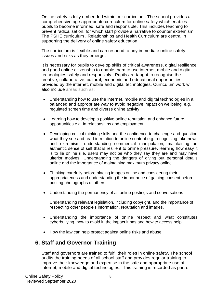Online safety is fully embedded within our curriculum. The school provides a comprehensive age appropriate curriculum for online safety which enables pupils to become informed, safe and responsible. This includes teaching to prevent radicalisation, for which staff provide a narrative to counter extremism. The PSHE curriculum , Relationships and Health Curriculum are central in supporting the delivery of online safety education.

The curriculum is flexible and can respond to any immediate online safety issues and risks as they emerge.

It is necessary for pupils to develop skills of critical awareness, digital resilience and good online citizenship to enable them to use internet, mobile and digital technologies safely and responsibly. Pupils are taught to recognise the creative, collaborative, cultural, economic and educational opportunities provided by the internet, mobile and digital technologies. Curriculum work will also include areas such as:

- Understanding how to use the internet, mobile and digital technologies in a balanced and appropriate way to avoid negative impact on wellbeing, e.g. regulated screen time and diverse online activity
- Learning how to develop a positive online reputation and enhance future opportunities e.g. in relationships and employment
- Developing critical thinking skills and the confidence to challenge and question what they see and read in relation to online content e.g. recognising fake news and extremism, understanding commercial manipulation, maintaining an authentic sense of self that is resilient to online pressure, learning how easy it is to lie online (i.e. users may not be who they say they are and may have ulterior motives Understanding the dangers of giving out personal details online and the importance of maintaining maximum privacy online
- Thinking carefully before placing images online and considering their appropriateness and understanding the importance of gaining consent before posting photographs of others
- Understanding the permanency of all online postings and conversations

Understanding relevant legislation, including copyright, and the importance of respecting other people's information, reputation and images.

- Understanding the importance of online respect and what constitutes cyberbullying, how to avoid it, the impact it has and how to access help.
- How the law can help protect against online risks and abuse

# <span id="page-7-0"></span>**6. Staff and Governor Training**

Staff and governors are trained to fulfil their roles in online safety. The school audits the training needs of all school staff and provides regular training to improve their knowledge and expertise in the safe and appropriate use of internet, mobile and digital technologies. This training is recorded as part of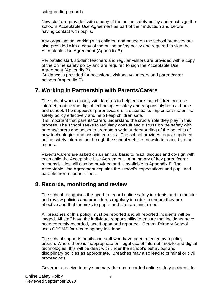safeguarding records.

New staff are provided with a copy of the online safety policy and must sign the school's Acceptable Use Agreement as part of their induction and before having contact with pupils.

Any organisation working with children and based on the school premises are also provided with a copy of the online safety policy and required to sign the Acceptable Use Agreement (Appendix B).

Peripatetic staff, student teachers and regular visitors are provided with a copy of the online safety policy and are required to sign the Acceptable Use Agreement (Appendix B).

Guidance is provided for occasional visitors, volunteers and parent/carer helpers (Appendix E).

# <span id="page-8-0"></span>**7. Working in Partnership with Parents/Carers**

The school works closely with families to help ensure that children can use internet, mobile and digital technologies safely and responsibly both at home and school. The support of parents/carers is essential to implement the online safety policy effectively and help keep children safe.

It is important that parents/carers understand the crucial role they play in this process. The school seeks to regularly consult and discuss online safety with parents/carers and seeks to promote a wide understanding of the benefits of new technologies and associated risks. The school provides regular updated online safety information through the school website, newsletters and by other means.

Parents/carers are asked on an annual basis to read, discuss and co-sign with each child the Acceptable Use Agreement. A summary of key parent/carer responsibilities will also be provided and is available in Appendix F. The Acceptable Use Agreement explains the school's expectations and pupil and parent/carer responsibilities.

# <span id="page-8-1"></span>**8. Records, monitoring and review**

The school recognises the need to record online safety incidents and to monitor and review policies and procedures regularly in order to ensure they are effective and that the risks to pupils and staff are minimised.

All breaches of this policy must be reported and all reported incidents will be logged. All staff have the individual responsibility to ensure that incidents have been correctly recorded, acted upon and reported. Central Primary School uses CPOMS for recording any incidents.

The school supports pupils and staff who have been affected by a policy breach. Where there is inappropriate or illegal use of internet, mobile and digital technologies, this will be dealt with under the school's behaviour and disciplinary policies as appropriate. Breaches may also lead to criminal or civil proceedings.

Governors receive termly summary data on recorded online safety incidents for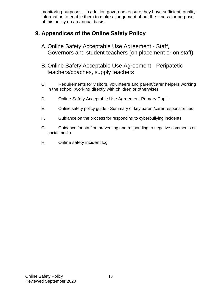monitoring purposes. In addition governors ensure they have sufficient, quality information to enable them to make a judgement about the fitness for purpose of this policy on an annual basis.

# <span id="page-9-0"></span>**9. Appendices of the Online Safety Policy**

- A. Online Safety Acceptable Use Agreement Staff, Governors and student teachers (on placement or on staff)
- B. Online Safety Acceptable Use Agreement Peripatetic teachers/coaches, supply teachers
- C. Requirements for visitors, volunteers and parent/carer helpers working in the school (working directly with children or otherwise)
- D. Online Safety Acceptable Use Agreement Primary Pupils
- E. Online safety policy guide Summary of key parent/carer responsibilities
- F. Guidance on the process for responding to cyberbullying incidents
- G. Guidance for staff on preventing and responding to negative comments on social media
- H. Online safety incident log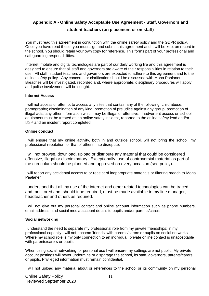# <span id="page-10-0"></span>**Appendix A - Online Safety Acceptable Use Agreement - Staff, Governors and**

## **student teachers (on placement or on staff)**

You must read this agreement in conjunction with the online safety policy and the GDPR policy. Once you have read these, you must sign and submit this agreement and it will be kept on record in the school. You should retain your own copy for reference. This forms part of your professional and safeguarding responsibilities.

Internet, mobile and digital technologies are part of our daily working life and this agreement is designed to ensure that all staff and governors are aware of their responsibilities in relation to their use. All staff, student teachers and governors are expected to adhere to this agreement and to the online safety policy. Any concerns or clarification should be discussed with Mona Paalanen. Breaches will be investigated, recorded and, where appropriate, disciplinary procedures will apply and police involvement will be sought.

#### **Internet Access**

I will not access or attempt to access any sites that contain any of the following: child abuse; pornography; discrimination of any kind; promotion of prejudice against any group; promotion of illegal acts; any other information which may be illegal or offensive. Inadvertent access on school equipment must be treated as an online safety incident, reported to the online safety lead and/or DSP and an incident report completed.

#### **Online conduct**

I will ensure that my online activity, both in and outside school, will not bring the school, my professional reputation, or that of others, into disrepute.

I will not browse, download, upload or distribute any material that could be considered offensive, illegal or discriminatory. Exceptionally, use of controversial material as part of the curriculum should be planned and approved on every occasion (see policy).

I will report any accidental access to or receipt of inappropriate materials or filtering breach to Mona Paalanen.

I understand that all my use of the internet and other related technologies can be traced and monitored and, should it be required, must be made available to my line manager, headteacher and others as required.

I will not give out my personal contact and online account information such as phone numbers, email address, and social media account details to pupils and/or parents/carers.

#### **Social networking**

I understand the need to separate my professional role from my private friendships; in my professional capacity I will not become 'friends' with parents/carers or pupils on social networks. Where my school role is my only connection to an individual, private online contact is unacceptable with parents/carers or pupils.

When using social networking for personal use I will ensure my settings are not public. My private account postings will never undermine or disparage the school, its staff, governors, parents/carers or pupils. Privileged information must remain confidential.

I will not upload any material about or references to the school or its community on my personal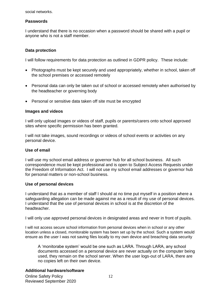social networks.

# **Passwords**

I understand that there is no occasion when a password should be shared with a pupil or anyone who is not a staff member.

## **Data protection**

I will follow requirements for data protection as outlined in GDPR policy. These include:

- Photographs must be kept securely and used appropriately, whether in school, taken off the school premises or accessed remotely
- Personal data can only be taken out of school or accessed remotely when authorised by the headteacher or governing body
- Personal or sensitive data taken off site must be encrypted

#### **Images and videos**

I will only upload images or videos of staff, pupils or parents/carers onto school approved sites where specific permission has been granted.

I will not take images, sound recordings or videos of school events or activities on any personal device.

## **Use of email**

I will use my school email address or governor hub for all school business. All such correspondence must be kept professional and is open to Subject Access Requests under the Freedom of Information Act. I will not use my school email addresses or governor hub for personal matters or non-school business.

## **Use of personal devices**

I understand that as a member of staff I should at no time put myself in a position where a safeguarding allegation can be made against me as a result of my use of personal devices. I understand that the use of personal devices in school is at the discretion of the headteacher.

I will only use approved personal devices in designated areas and never in front of pupils.

I will not access secure school information from personal devices when in school or any other location unless a closed, monitorable system has been set up by the school. Such a system would ensure as the user I was not saving files locally to my own device and breaching data security

A 'monitorabe system' would be one such as LARA. Through LARA, any school documents accessed on a personal device are never actually on the computer being used, they remain on the school server. When the user logs-out of LARA, there are no copies left on their own device.

## **Additional hardware/software**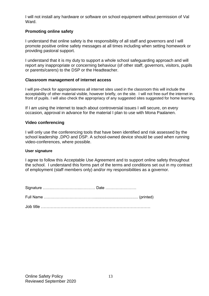I will not install any hardware or software on school equipment without permission of Val Ward.

# **Promoting online safety**

I understand that online safety is the responsibility of all staff and governors and I will promote positive online safety messages at all times including when setting homework or providing pastoral support.

I understand that it is my duty to support a whole school safeguarding approach and will report any inappropriate or concerning behaviour (of other staff, governors, visitors, pupils or parents/carers) to the DSP or the Headteacher.

## **Classroom management of internet access**

I will pre-check for appropriateness all internet sites used in the classroom this will include the acceptability of other material visible, however briefly, on the site. I will not free-surf the internet in front of pupils. I will also check the appropriacy of any suggested sites suggested for home learning.

If I am using the internet to teach about controversial issues I will secure, on every occasion, approval in advance for the material I plan to use with Mona Paalanen.

#### **Video conferencing**

I will only use the conferencing tools that have been identified and risk assessed by the school leadership ,DPO and DSP. A school-owned device should be used when running video-conferences, where possible.

#### **User signature**

I agree to follow this Acceptable Use Agreement and to support online safety throughout the school. I understand this forms part of the terms and conditions set out in my contract of employment (staff members only) and/or my responsibilities as a governor.

Signature …….………………….………… Date ……………………

Full Name …………………………………......................................... (printed)

Job title ……………………………………………………………………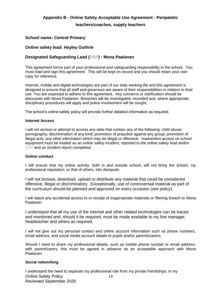## <span id="page-13-0"></span>**Appendix B - Online Safety Acceptable Use Agreement - Peripatetic**

**teachers/coaches, supply teachers** 

## **School name: Central Primary**

#### **Online safety lead: Hayley Guthrie**

## **Designated Safeguarding Lead (DSP) : Mona Paalanen**

This agreement forms part of your professional and safeguarding responsibility in the school. You must read and sign this agreement. This will be kept on record and you should retain your own copy for reference.

Internet, mobile and digital technologies are part of our daily working life and this agreement is designed to ensure that all staff and governors are aware of their responsibilities in relation to their use. You are expected to adhere to this agreement. Any concerns or clarification should be discussed with Mona Paalanen. Breaches will be investigated, recorded and, where appropriate, disciplinary procedures will apply and police involvement will be sought.

The school's online safety policy will provide further detailed information as required.

#### **Internet Access**

I will not access or attempt to access any sites that contain any of the following: child abuse; pornography; discrimination of any kind; promotion of prejudice against any group; promotion of illegal acts; any other information which may be illegal or offensive. Inadvertent access on school equipment must be treated as an online safety incident, reported to the online safety lead and/or DSP and an incident report completed.

#### **Online conduct**

I will ensure that my online activity, both in and outside school, will not bring the school, my professional reputation, or that of others, into disrepute.

I will not browse, download, upload or distribute any material that could be considered offensive, illegal or discriminatory. Exceptionally, use of controversial material as part of the curriculum should be planned and approved on every occasion (see policy).

I will report any accidental access to or receipt of inappropriate materials or filtering breach to Mona Paalanen.

I understand that all my use of the internet and other related technologies can be traced and monitored and, should it be required, must be made available to my line manager, headteacher and others as required.

I will not give out my personal contact and online account information such as phone numbers, email address, and social media account details to pupils and/or parents/carers.

Should I need to share my professional details, such as mobile phone number or email address, with parent/carers, this must be agreed in advance as an acceptable approach with Mona Paalanen.

#### **Social networking**

Online Safety Policy Reviewed September 2020 14 I understand the need to separate my professional role from my private friendships; in my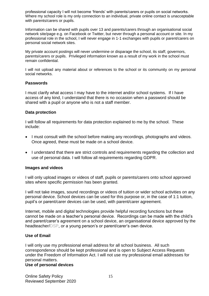professional capacity I will not become 'friends' with parents/carers or pupils on social networks. Where my school role is my only connection to an individual, private online contact is unacceptable with parents/carers or pupils.

Information can be shared with pupils over 13 and parents/carers through an organisational social network site/page e.g. on Facebook or Twitter, but never through a personal account or site. In my professional role in the school, I will never engage in 1-1 exchanges with pupils or parent/carers on personal social network sites.

My private account postings will never undermine or disparage the school, its staff, governors, parents/carers or pupils. Privileged information known as a result of my work in the school must remain confidential.

I will not upload any material about or references to the school or its community on my personal social networks.

#### **Passwords**

I must clarify what access I may have to the internet and/or school systems. If I have access of any kind, I understand that there is no occasion when a password should be shared with a pupil or anyone who is not a staff member.

#### **Data protection**

I will follow all requirements for data protection explained to me by the school. These include:

- I must consult with the school before making any recordings, photographs and videos. Once agreed, these must be made on a school device.
- I understand that there are strict controls and requirements regarding the collection and use of personal data. I will follow all requirements regarding GDPR.

#### **Images and videos**

I will only upload images or videos of staff, pupils or parents/carers onto school approved sites where specific permission has been granted.

I will not take images, sound recordings or videos of tuition or wider school activities on any personal device. School devices can be used for this purpose or, in the case of 1:1 tuition, pupil's or parent/carer devices can be used, with parent/carer agreement.

Internet, mobile and digital technologies provide helpful recording functions but these cannot be made on a teacher's personal device. Recordings can be made with the child's and parent/carer's agreement on a school device, an organisational device approved by the headteacher/DSP, or a young person's or parent/carer's own device.

#### **Use of Email**

I will only use my professional email address for all school business. All such correspondence should be kept professional and is open to Subject Access Requests under the Freedom of Information Act. I will not use my professional email addresses for personal matters.

#### **Use of personal devices**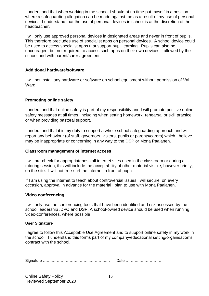I understand that when working in the school I should at no time put myself in a position where a safeguarding allegation can be made against me as a result of my use of personal devices. I understand that the use of personal devices in school is at the discretion of the headteacher.

I will only use approved personal devices in designated areas and never in front of pupils. This therefore precludes use of specialist apps on personal devices. A school device could be used to access specialist apps that support pupil learning. Pupils can also be encouraged, but not required, to access such apps on their own devices if allowed by the school and with parent/carer agreement.

## **Additional hardware/software**

I will not install any hardware or software on school equipment without permission of Val Ward.

# **Promoting online safety**

I understand that online safety is part of my responsibility and I will promote positive online safety messages at all times, including when setting homework, rehearsal or skill practice or when providing pastoral support.

I understand that it is my duty to support a whole school safeguarding approach and will report any behaviour (of staff, governors, visitors, pupils or parents/carers) which I believe may be inappropriate or concerning in any way to the DSP or Mona Paalanen.

## **Classroom management of internet access**

I will pre-check for appropriateness all internet sites used in the classroom or during a tutoring session; this will include the acceptability of other material visible, however briefly, on the site. I will not free-surf the internet in front of pupils.

If I am using the internet to teach about controversial issues I will secure, on every occasion, approval in advance for the material I plan to use with Mona Paalanen.

## **Video conferencing**

I will only use the conferencing tools that have been identified and risk assessed by the school leadership ,DPO and DSP. A school-owned device should be used when running video-conferences, where possible

#### **User Signature**

I agree to follow this Acceptable Use Agreement and to support online safety in my work in the school. I understand this forms part of my company/educational setting/organisation's contract with the school.

Signature …….………………….……..………….… Date ………..………………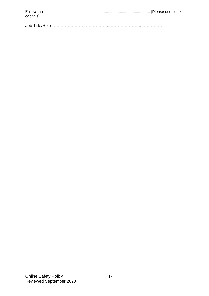| capitals) |  |
|-----------|--|
|           |  |

Job Title/Role …………………………………..…………………..……………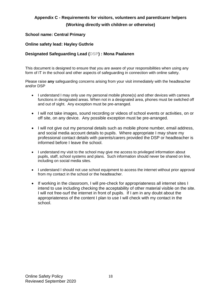# <span id="page-17-0"></span>**Appendix C - Requirements for visitors, volunteers and parent/carer helpers**

# **(Working directly with children or otherwise)**

# **School name: Central Primary**

# **Online safety lead: Hayley Guthrie**

# **Designated Safeguarding Lead (DSP) : Mona Paalanen**

This document is designed to ensure that you are aware of your responsibilities when using any form of IT in the school and other aspects of safeguarding in connection with online safety.

Please raise **any** safeguarding concerns arising from your visit immediately with the headteacher and/or DSP

- I understand I may only use my personal mobile phone(s) and other devices with camera functions in designated areas. When not in a designated area, phones must be switched off and out of sight. Any exception must be pre-arranged.
- I will not take images, sound recording or videos of school events or activities, on or off site, on any device. Any possible exception must be pre-arranged.
- I will not give out my personal details such as mobile phone number, email address, and social media account details to pupils. Where appropriate I may share my professional contact details with parents/carers provided the DSP or headteacher is informed before I leave the school.
- I understand my visit to the school may give me access to privileged information about pupils, staff, school systems and plans. Such information should never be shared on line, including on social media sites.
- I understand I should not use school equipment to access the internet without prior approval from my contact in the school or the headteacher.
- If working in the classroom, I will pre-check for appropriateness all internet sites I intend to use including checking the acceptability of other material visible on the site. I will not free-surf the internet in front of pupils. If I am in any doubt about the appropriateness of the content I plan to use I will check with my contact in the school.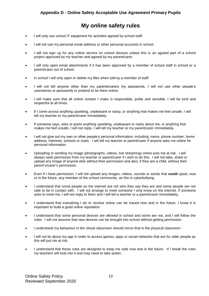# **My online safety rules**

- <span id="page-18-0"></span>I will only use school IT equipment for activities agreed by school staff.
- I will not use my personal email address or other personal accounts in school.
- I will not sign up for any online service on school devices unless this is an agreed part of a school project approved by my teacher and agreed by my parent/carer.
- I will only open email attachments if it has been approved by a member of school staff in school or a parent/carer out of school.
- In school I will only open or delete my files when told by a member of staff.
- I will not tell anyone other than my parents/carers my passwords. I will not use other people's usernames or passwords to pretend to be them online.
- I will make sure that all online contact I make is responsible, polite and sensible. I will be kind and respectful at all times.
- If I come across anything upsetting, unpleasant or nasty, or anything that makes me feel unsafe, I will tell my teacher or my parent/carer immediately.
- If someone says, asks or posts anything upsetting, unpleasant or nasty about me, or anything that makes me feel unsafe, I will not reply. I will tell my teacher or my parent/carer immediately.
- I will not give out my own or other people's personal information, including: name, phone number, home address, interests, schools or clubs. I will tell my teacher or parent/carer if anyone asks me online for personal information.
- Uploading or sending my image (photographs, videos, live streaming) online puts me at risk. I will always seek permission from my teacher or parent/carer if I wish to do this. I will not take, share or upload any image of anyone else without their permission and also, if they are a child, without their parent's/carer's permission.
- Even if I have permission, I will not upload any images, videos, sounds or words that **could** upset, now or in the future, any member of the school community, as this is cyberbullying.
- I understand that some people on the internet are not who they say they are and some people are not safe to be in contact with. I will not arrange to meet someone I only know on the internet. If someone asks to meet me, I will not reply to them and I will tell a teacher or a parent/carer immediately.
- I understand that everything I do or receive online can be traced now and in the future. I know it is important to build a good online reputation.
- I understand that some personal devices are allowed in school and some are not, and I will follow the rules. I will not assume that new devices can be brought into school without getting permission.
- I understand my behaviour in the virtual classroom should mirror that in the physical classroom
- I will not lie about my age in order to access games, apps or social networks that are for older people as this will put me at risk.
- I understand that these rules are designed to keep me safe now and in the future. If I break the rules my teachers will look into it and may need to take action.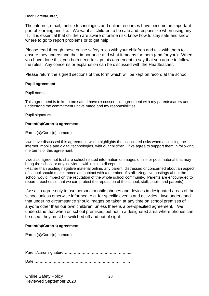Dear Parent/Carer,

The internet, email, mobile technologies and online resources have become an important part of learning and life. We want all children to be safe and responsible when using any IT. It is essential that children are aware of online risk, know how to stay safe and know where to go to report problems or to get help.

Please read through these online safety rules with your child/ren and talk with them to ensure they understand their importance and what it means for them (and for you). When you have done this, you both need to sign this agreement to say that you agree to follow the rules. Any concerns or explanation can be discussed with the Headteacher.

Please return the signed sections of this form which will be kept on record at the school.

#### **Pupil agreement**

Pupil name……………………………………………….…

This agreement is to keep me safe. I have discussed this agreement with my parents/carers and understand the commitment I have made and my responsibilities.

Pupil signature……………………………………………………………………..

#### **Parent(s)/Carer(s) agreement**

Parent(s)/Carer(s) name(s)………………………………………………………

I/we have discussed this agreement, which highlights the associated risks when accessing the internet, mobile and digital technologies, with our child/ren. I/we agree to support them in following the terms of this agreement.

I/we also agree not to share school related information or images online or post material that may bring the school or any individual within it into disrepute.

(Rather than posting negative material online, any parent, distressed or concerned about an aspect of school should make immediate contact with a member of staff. Negative postings about the school would impact on the reputation of the whole school community. Parents are encouraged to report breaches so that we can protect the reputation of the school, staff, pupils and parents).

I/we also agree only to use personal mobile phones and devices in designated areas of the school unless otherwise informed, e.g. for specific events and activities. I/we understand that under no circumstance should images be taken at any time on school premises of anyone other than our own child/ren, unless there is a pre-specified agreement. I/we understand that when on school premises, but not in a designated area where phones can be used, they must be switched off and out of sight.

#### **Parent(s)/Carer(s) agreement**

Parent(s)/Carer(s) name(s)……………………………………………………….

Parent/carer signature……………………………………………..

Date …………………………………………………………...….…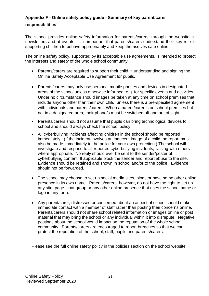# <span id="page-20-0"></span>**Appendix F - Online safety policy guide - Summary of key parent/carer**

## **responsibilities**

The school provides online safety information for parents/carers, through the website, in newsletters and at events. It is important that parents/carers understand their key role in supporting children to behave appropriately and keep themselves safe online.

The online safety policy, supported by its acceptable use agreements, is intended to protect the interests and safety of the whole school community.

- Parents/carers are required to support their child in understanding and signing the Online Safety Acceptable Use Agreement for pupils.
- Parents/carers may only use personal mobile phones and devices in designated areas of the school unless otherwise informed, e.g. for specific events and activities. Under no circumstance should images be taken at any time on school premises that include anyone other than their own child, unless there is a pre-specified agreement with individuals and parents/carers. When a parent/carer is on school premises but not in a designated area, their phone/s must be switched off and out of sight.
- Parents/carers should not assume that pupils can bring technological devices to school and should always check the school policy.
- All cyberbullying incidents affecting children in the school should be reported immediately. (If the incident involves an indecent image of a child the report must also be made immediately to the police for your own protection.) The school will investigate and respond to all reported cyberbullying incidents, liaising with others where appropriate. No reply should ever be sent to the sender/poster of cyberbullying content. If applicable block the sender and report abuse to the site. Evidence should be retained and shown in school and/or to the police. Evidence should not be forwarded.
- The school may choose to set up social media sites, blogs or have some other online presence in its own name. Parents/carers, however, do not have the right to set up any site, page, chat group or any other online presence that uses the school name or logo in any form.
- Any parent/carer, distressed or concerned about an aspect of school should make immediate contact with a member of staff rather than posting their concerns online. Parents/carers should not share school related information or images online or post material that may bring the school or any individual within it into disrepute. Negative postings about the school would impact on the reputation of the whole school community. Parents/carers are encouraged to report breaches so that we can protect the reputation of the school, staff, pupils and parents/carers.

Please see the full online safety policy in the policies section on the school website.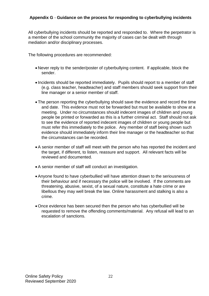# <span id="page-21-0"></span>**Appendix G** - **Guidance on the process for responding to cyberbullying incidents**

All cyberbullying incidents should be reported and responded to. Where the perpetrator is a member of the school community the majority of cases can be dealt with through mediation and/or disciplinary processes.

The following procedures are recommended:

- Never reply to the sender/poster of cyberbullying content. If applicable, block the sender.
- Incidents should be reported immediately. Pupils should report to a member of staff (e.g. class teacher, headteacher) and staff members should seek support from their line manager or a senior member of staff.
- The person reporting the cyberbullying should save the evidence and record the time and date. This evidence must not be forwarded but must be available to show at a meeting. Under no circumstances should indecent images of children and young people be printed or forwarded as this is a further criminal act. Staff should not ask to see the evidence of reported indecent images of children or young people but must refer this immediately to the police. Any member of staff being shown such evidence should immediately inform their line manager or the headteacher so that the circumstances can be recorded.
- A senior member of staff will meet with the person who has reported the incident and the target, if different, to listen, reassure and support. All relevant facts will be reviewed and documented.
- A senior member of staff will conduct an investigation.
- Anyone found to have cyberbullied will have attention drawn to the seriousness of their behaviour and if necessary the police will be involved. If the comments are threatening, abusive, sexist, of a sexual nature, constitute a hate crime or are libellous they may well break the law. Online harassment and stalking is also a crime.
- Once evidence has been secured then the person who has cyberbullied will be requested to remove the offending comments/material. Any refusal will lead to an escalation of sanctions.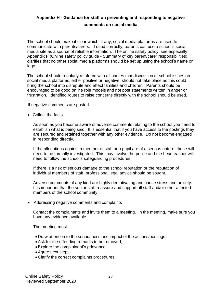# <span id="page-22-0"></span>**Appendix H** - **Guidance for staff on preventing and responding to negative**

## **comments on social media**

The school should make it clear which, if any, social media platforms are used to communicate with parents/carers. If used correctly, parents can use a school's social media site as a source of reliable information. The online safety policy, see especially Appendix F (Online safety policy guide - Summary of key parent/carer responsibilities), clarifies that no other social media platforms should be set up using the school's name or logo.

The school should regularly reinforce with all parties that discussion of school issues on social media platforms, either positive or negative, should not take place as this could bring the school into disrepute and affect families and children. Parents should be encouraged to be good online role models and not post statements written in anger or frustration. Identified routes to raise concerns directly with the school should be used.

If negative comments are posted:

• Collect the facts

As soon as you become aware of adverse comments relating to the school you need to establish what is being said. It is essential that if you have access to the postings they are secured and retained together with any other evidence. Do not become engaged in responding directly.

If the allegations against a member of staff or a pupil are of a serious nature, these will need to be formally investigated. This may involve the police and the headteacher will need to follow the school's safeguarding procedures.

If there is a risk of serious damage to the school reputation or the reputation of individual members of staff, professional legal advice should be sought.

Adverse comments of any kind are highly demotivating and cause stress and anxiety. It is important that the senior staff reassure and support all staff and/or other affected members of the school community.

• Addressing negative comments and complaints

Contact the complainants and invite them to a meeting. In the meeting, make sure you have any evidence available.

The meeting must:

- Draw attention to the seriousness and impact of the actions/postings;
- Ask for the offending remarks to be removed;
- Explore the complainant's grievance:
- Agree next steps;
- Clarify the correct complaints procedures.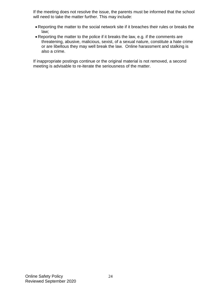If the meeting does not resolve the issue, the parents must be informed that the school will need to take the matter further. This may include:

- Reporting the matter to the social network site if it breaches their rules or breaks the law;
- Reporting the matter to the police if it breaks the law, e.g. if the comments are threatening, abusive, malicious, sexist, of a sexual nature, constitute a hate crime or are libellous they may well break the law. Online harassment and stalking is also a crime.

If inappropriate postings continue or the original material is not removed, a second meeting is advisable to re-iterate the seriousness of the matter.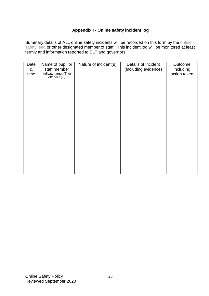# **Appendix I - Online safety incident log**

<span id="page-24-0"></span>Summary details of ALL online safety incidents will be recorded on this form by the online safety lead or other designated member of staff. This incident log will be monitored at least termly and information reported to SLT and governors.

| Date<br>&<br>time | Name of pupil or<br>staff member<br>Indicate target (T) or<br>offender (O) | Nature of incident(s) | Details of incident<br>(including evidence) | Outcome<br>including<br>action taken |
|-------------------|----------------------------------------------------------------------------|-----------------------|---------------------------------------------|--------------------------------------|
|                   |                                                                            |                       |                                             |                                      |
|                   |                                                                            |                       |                                             |                                      |
|                   |                                                                            |                       |                                             |                                      |
|                   |                                                                            |                       |                                             |                                      |
|                   |                                                                            |                       |                                             |                                      |